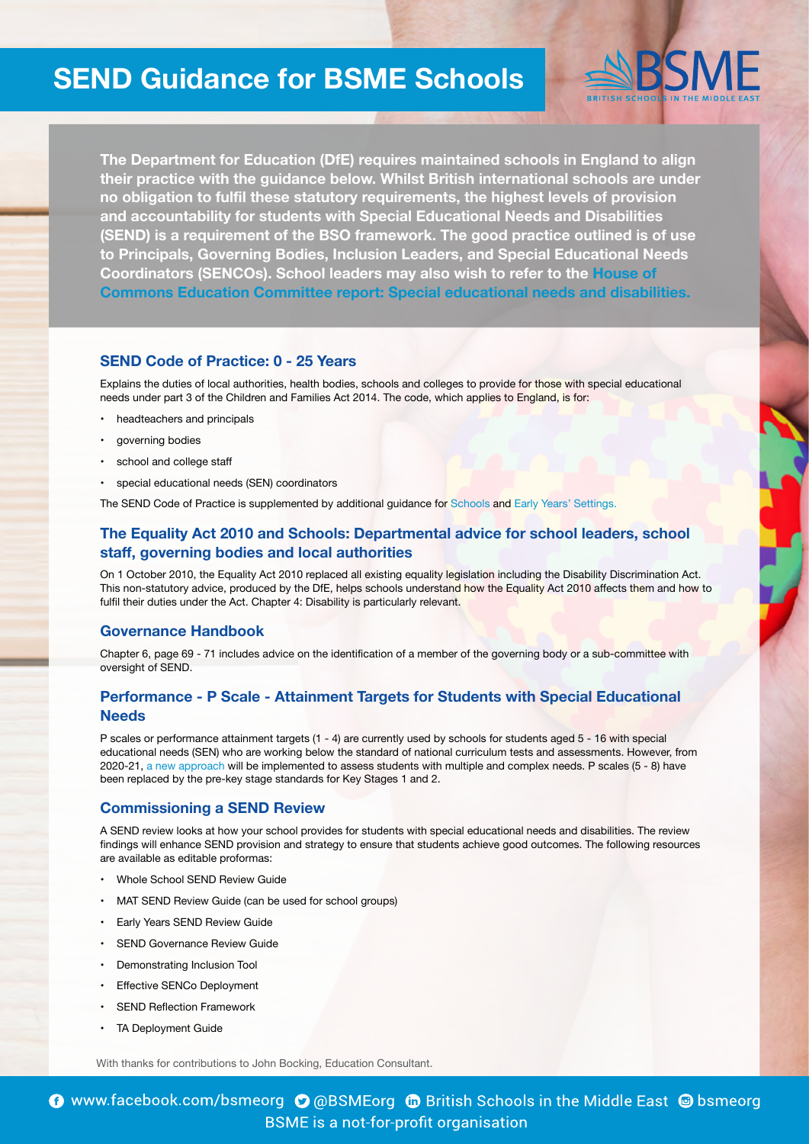# **SEND Guidance for BSME Schools**

The Department for Education (DfE) requires maintained schools in England to align their practice with the guidance below. Whilst British international schools are under no obligation to fulfil these statutory requirements, the highest levels of provision and accountability for students with Special Educational Needs and Disabilities **(SEND)** is a requirement of the BSO framework. The good practice outlined is of use **to Principals, Governing Bodies, Inclusion Leaders, and Special Educational Needs Coordinators (SENCOs). School leaders may also wish to refer to the House of Commons Education Committee report: Special educational needs and disabilities.** 

#### **SEND Code of Practice: 0 - 25 Years**

Explains the duties of local authorities, health bodies, schools and colleges to provide for those with special educational needs under part 3 of the Children and Families Act 2014. The code, which applies to England, is for:

- headteachers and principals
- governing bodies
- school and college staff
- special educational needs (SEN) coordinators

The SEND Co[d](https://assets.publishing.service.gov.uk/government/uploads/system/uploads/attachment_data/file/350685/Early_Years_Guide_to_SEND_Code_of_Practice_-_02Sept14.pdf)e of Practice is supplemented by additional guidance for [Schools](https://assets.publishing.service.gov.uk/government/uploads/system/uploads/attachment_data/file/349053/Schools_Guide_to_the_0_to_25_SEND_Code_of_Practice.pdf) and Early Years' Settings.

## **The Equality Act 2010 and Schools: Departmental advice for school leaders, school** staff, governing bodies and local authorities

On 1 October 2010, the Equality Act 2010 replaced all existing equality legislation including the Disability Discrimination Act. This non-statutory advice, produced by the DfE, helps schools understand how the Equality Act 2010 affects them and how to fulfil their duties under the Act. Chapter 4: Disability is particularly relevant.

#### **Governance Handbook**

Chapter 6, page 69 - 71 includes advice on the identification of a member of the governing body or a sub-committee with oversight of SEND.

# **Performance - P Scale - Attainment Targets for Students with Special Educational  [Needs](https://assets.publishing.service.gov.uk/government/uploads/system/uploads/attachment_data/file/617033/Performance_-_P_Scale_-_attainment_targets_for_pupils_with_special_educational_needs_June_2017.pdf)**

P scales or performance attainment targets (1 - 4) are currently used by schools for students aged 5 - 16 with special educational needs (SEN) who are working below the standard of national curriculum tests and assessments. However, from 2020-21, a new approach will be implemented to assess students with multiple and complex needs. P scales (5 - 8) have been replaced by the pre-key stage standards for Key Stages 1 and 2.

#### **Commissioning a SEND Review**

A SEND review looks at how your school provides for students with special educational needs and disabilities. The review findings will enhance SEND provision and strategy to ensure that students achieve good outcomes. The following resources are available as editable proformas:

- Whole School SEND Review Guide
- MAT SEND Review Guide (can be used for school groups)
- Early Years SEND Review Guide
- SEND Governance Review Guide
- Demonstrating Inclusion Tool
- Effective SENCo Deployment
- **SEND Reflection Framework**
- TA Deployment Guide

With thanks for contributions to John Bocking, Education Consultant.